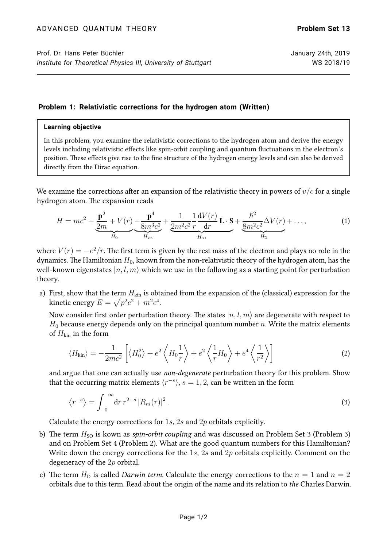## **Problem 1: Relativistic corrections for the hydrogen atom (Written)**

## **Learning objective**

In this problem, you examine the relativistic corrections to the hydrogen atom and derive the energy levels including relativistic effects like spin-orbit coupling and quantum fluctuations in the electron's position. These effects give rise to the fine structure of the hydrogen energy levels and can also be derived directly from the Dirac equation.

We examine the corrections after an expansion of the relativistic theory in powers of  $v/c$  for a single hydrogen atom. The expansion reads

$$
H = mc^{2} + \underbrace{\frac{\mathbf{p}^{2}}{2m} + V(r)}_{H_{0}} \underbrace{-\frac{\mathbf{p}^{4}}{8m^{3}c^{2}}}_{H_{kin}} + \underbrace{\frac{1}{2m^{2}c^{2}}\frac{1}{r}\frac{dV(r)}{dr}\mathbf{L}\cdot\mathbf{S}}_{H_{SO}} + \underbrace{\frac{\hbar^{2}}{8m^{2}c^{2}}\Delta V(r)}_{H_{D}} + ...,
$$
(1)

where  $V(r) = -e^2/r$ . The first term is given by the rest mass of the electron and plays no role in the dynamics. The Hamiltonian  $H_0$ , known from the non-relativistic theory of the hydrogen atom, has the well-known eigenstates  $|n, l, m\rangle$  which we use in the following as a starting point for perturbation theory.

a) First, show that the term  $H_{kin}$  is obtained from the expansion of the (classical) expression for the kinetic energy  $E = \sqrt{p^2c^2 + m^2c^4}.$ 

Now consider first order perturbation theory. The states  $|n, l, m\rangle$  are degenerate with respect to  $H_0$  because energy depends only on the principal quantum number n. Write the matrix elements of  $H_{\text{kin}}$  in the form

$$
\langle H_{\rm kin} \rangle = -\frac{1}{2mc^2} \left[ \langle H_0^2 \rangle + e^2 \langle H_0 \frac{1}{r} \rangle + e^2 \langle \frac{1}{r} H_0 \rangle + e^4 \langle \frac{1}{r^2} \rangle \right]
$$
 (2)

and argue that one can actually use non-degenerate perturbation theory for this problem. Show that the occurring matrix elements  $\langle r^{-s} \rangle$ ,  $s = 1, 2$ , can be written in the form

$$
\left\langle r^{-s}\right\rangle = \int_0^\infty dr \, r^{2-s} \, |R_{nl}(r)|^2 \,. \tag{3}
$$

Calculate the energy corrections for 1s, 2s and 2p orbitals explicitly.

- b) The term  $H_{SO}$  is kown as *spin-orbit coupling* and was discussed on Problem Set 3 (Problem 3) and on Problem Set 4 (Problem 2). What are the good quantum numbers for this Hamiltonian? Write down the energy corrections for the  $1s$ ,  $2s$  and  $2p$  orbitals explicitly. Comment on the degeneracy of the 2p orbital.
- c) The term  $H_D$  is called Darwin term. Calculate the energy corrections to the  $n = 1$  and  $n = 2$ orbitals due to this term. Read about the origin of the name and its relation to the Charles Darwin.